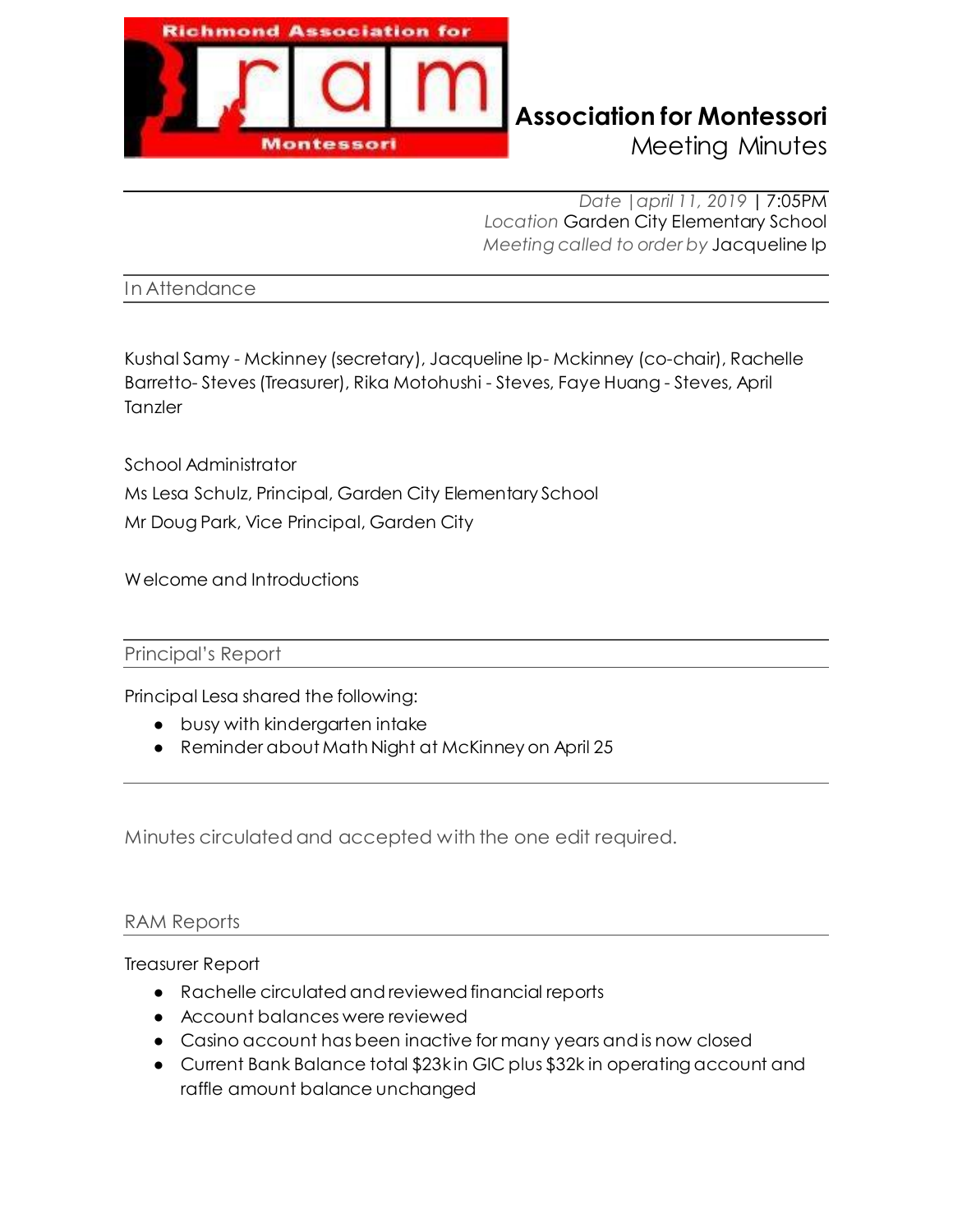

# **Richmond Association for Montessori**

Meeting Minutes

*Date |april 11, 2019* | 7:05PM *Location* Garden City Elementary School *Meeting called to order by* Jacqueline Ip

In Attendance

Kushal Samy - Mckinney (secretary), Jacqueline Ip- Mckinney (co-chair), Rachelle Barretto- Steves (Treasurer), Rika Motohushi - Steves, Faye Huang - Steves, April **Tanzler** 

School Administrator Ms Lesa Schulz, Principal, Garden City Elementary School Mr Doug Park, Vice Principal, Garden City

Welcome and Introductions

Principal's Report

Principal Lesa shared the following:

- busy with kindergarten intake
- Reminder about Math Night at McKinney on April 25

Minutes circulated and accepted with the one edit required.

### RAM Reports

### Treasurer Report

- Ɣ Rachelle circulated and reviewed financial reports
- Ɣ Account balances were reviewed
- Ɣ Casino account has been inactive for many years and is now closed
- Current Bank Balance total \$23kin GIC plus \$32k in operating account and raffle amount balance unchanged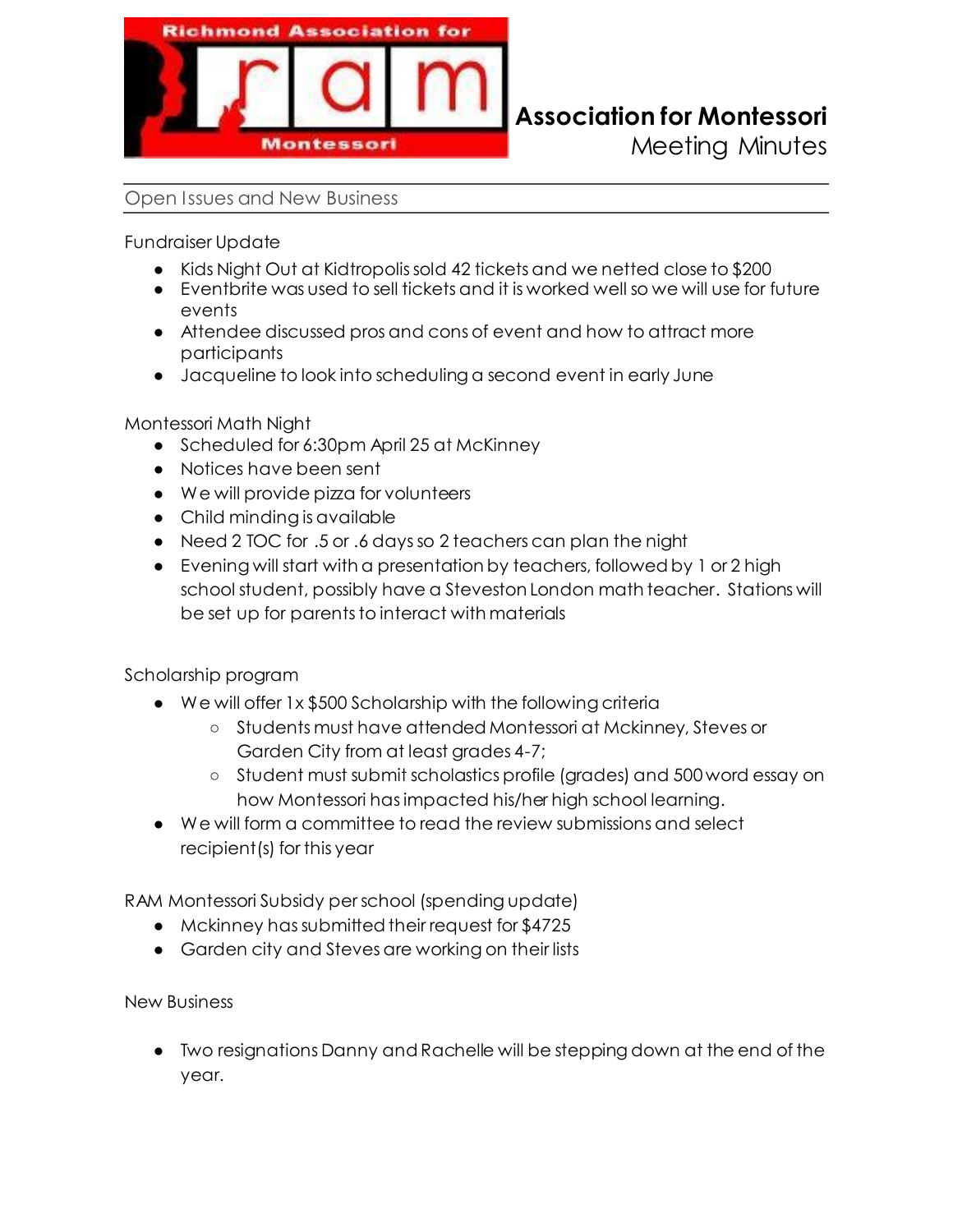

### **Richmond Association for Montessori**

Meeting Minutes

### Open Issues and New Business

Fundraiser Update

- Kids Night Out at Kidtropolis sold 42 tickets and we netted close to \$200
- $\bullet$  Eventbrite was used to sell tickets and it is worked well so we will use for future events
- Attendee discussed pros and cons of event and how to attract more participants
- **•** Jacqueline to look into scheduling a second event in early June

Montessori Math Night

- Scheduled for 6:30pm April 25 at McKinney
- Notices have been sent
- We will provide pizza for volunteers
- Child minding is available
- Need 2 TOC for .5 or .6 days so 2 teachers can plan the night
- Evening will start with a presentation by teachers, followed by 1 or 2 high school student, possibly have a Steveston London math teacher. Stations will be set up for parents to interact with materials

Scholarship program

- We will offer 1x \$500 Scholarship with the following criteria
	- ʊ Students must have attended Montessori at Mckinney, Steves or Garden City from at least grades 4-7;
	- ʊ Student must submit scholastics profile (grades) and 500 word essay on how Montessori has impacted his/her high school learning.
- ŏ We will form a committee to read the review submissions and select recipient(s) for this year

RAM Montessori Subsidy per school (spending update)

- Mckinney has submitted their request for \$4725
- Garden city and Steves are working on their lists

New Business

ŏ Two resignations Danny and Rachelle will be stepping down at the end of the year.